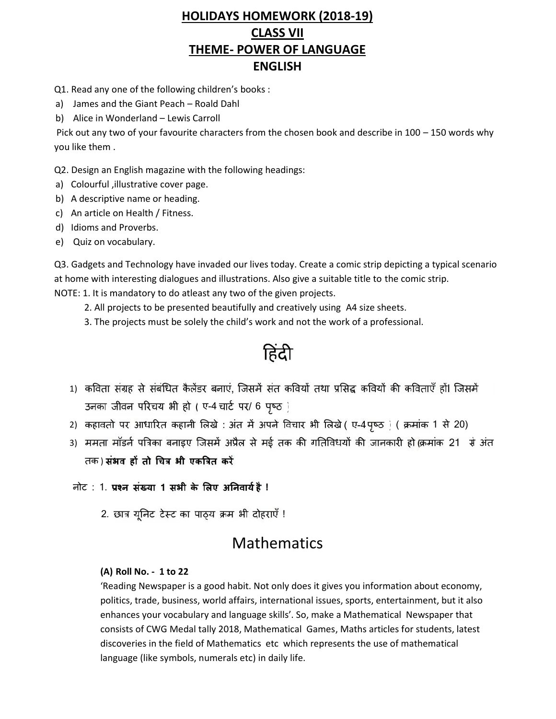# **HOLIDAYS HOMEWORK (2018-19) CLASS VII THEME- POWER OF LANGUAGE ENGLISH**

Q1. Read any one of the following children's books :

- a) James and the Giant Peach Roald Dahl
- b) Alice in Wonderland Lewis Carroll

Pick out any two of your favourite characters from the chosen book and describe in 100 – 150 words why you like them .

Q2. Design an English magazine with the following headings:

- a) Colourful ,illustrative cover page.
- b) A descriptive name or heading.
- c) An article on Health / Fitness.
- d) Idioms and Proverbs.
- e) Quiz on vocabulary.

Q3. Gadgets and Technology have invaded our lives today. Create a comic strip depicting a typical scenario at home with interesting dialogues and illustrations. Also give a suitable title to the comic strip. NOTE: 1. It is mandatory to do atleast any two of the given projects.

- 2. All projects to be presented beautifully and creatively using A4 size sheets.
- 3. The projects must be solely the child's work and not the work of a professional.

हिंदी

- 1) कविता संग्रह से संबंधित कैलेंडर बनाएं, जिसमें संत कवियों तथा प्रसिद्ध कवियों की कविताएँ हों। जिसमें उनका जीवन परिचय भी हो ( ए-4 चार्ट पर/ 6 पृष्ठ )
- 2) कहावतो पर आधारित कहानी लिखे : अंत में अपने विचार भी लिखे ( ए-4 पृष्ठ ) ( क्रमांक 1 से 20)
- 3) ममता मॉडर्न पत्रिका बनाइए जिसमें अप्रैल से मई तक की गतिविधयों की जानकारी हो(क्रमांक 21) से अंत तक) संभव हों तो चित्र भी एकत्रित करें
- नोट : 1. **1 है!**
	- 2. छात्र यूनिट टेस्ट का पाठ्य क्रम भी दोहराएँ !

# **Mathematics**

## **(A) Roll No. - 1 to 22**

'Reading Newspaper is a good habit. Not only does it gives you information about economy, politics, trade, business, world affairs, international issues, sports, entertainment, but it also enhances your vocabulary and language skills'. So, make a Mathematical Newspaper that consists of CWG Medal tally 2018, Mathematical Games, Maths articles for students, latest discoveries in the field of Mathematics etc which represents the use of mathematical language (like symbols, numerals etc) in daily life.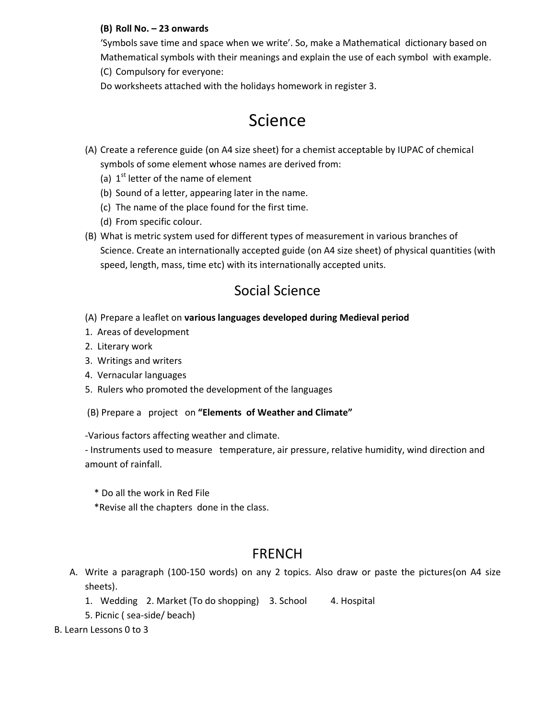## **(B) Roll No. – 23 onwards**

'Symbols save time and space when we write'. So, make a Mathematical dictionary based on Mathematical symbols with their meanings and explain the use of each symbol with example. (C) Compulsory for everyone:

Do worksheets attached with the holidays homework in register 3.

# Science

- (A) Create a reference guide (on A4 size sheet) for a chemist acceptable by IUPAC of chemical symbols of some element whose names are derived from:
	- (a) 1<sup>st</sup> letter of the name of element
	- (b) Sound of a letter, appearing later in the name.
	- (c) The name of the place found for the first time.
	- (d) From specific colour.
- (B) What is metric system used for different types of measurement in various branches of Science. Create an internationally accepted guide (on A4 size sheet) of physical quantities (with speed, length, mass, time etc) with its internationally accepted units.

# Social Science

- (A) Prepare a leaflet on **various languages developed during Medieval period**
- 1. Areas of development
- 2. Literary work
- 3. Writings and writers
- 4. Vernacular languages
- 5. Rulers who promoted the development of the languages
- (B) Prepare a project on **"Elements of Weather and Climate"**

-Various factors affecting weather and climate.

- Instruments used to measure temperature, air pressure, relative humidity, wind direction and amount of rainfall.

- \* Do all the work in Red File
- \*Revise all the chapters done in the class.

# **FRENCH**

- A. Write a paragraph (100-150 words) on any 2 topics. Also draw or paste the pictures(on A4 size sheets).
	- 1. Wedding 2. Market (To do shopping) 3. School 4. Hospital
	- 5. Picnic ( sea-side/ beach)
- B. Learn Lessons 0 to 3